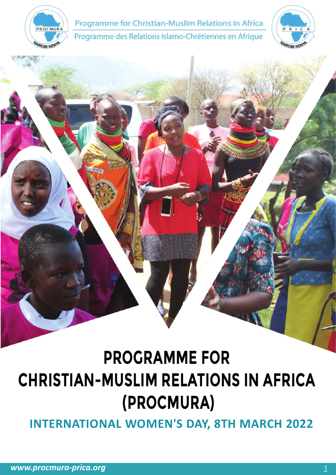

Programme for Christian-Muslim Relations in Africa Programme des Relations Islamo-Chrétiennes en Afrique



# **PROGRAMME FOR CHRISTIAN-MUSLIM RELATIONS IN AFRICA (PROCMURA)**

**INTERNATIONAL WOMEN'S DAY, 8TH MARCH 2022**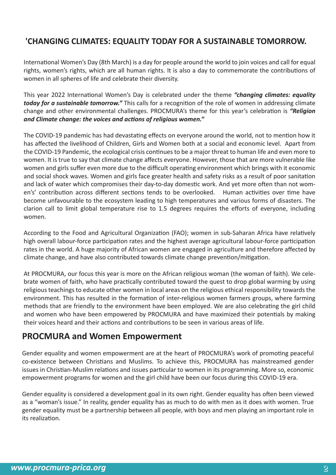## **'CHANGING CLIMATES: EQUALITY TODAY FOR A SUSTAINABLE TOMORROW.**

International Women's Day (8th March) is a day for people around the world to join voices and call for equal rights, women's rights, which are all human rights. It is also a day to commemorate the contributions of women in all spheres of life and celebrate their diversity.

This year 2022 International Women's Day is celebrated under the theme "changing climates: equality *today for a sustainable tomorrow.*" This calls for a recognition of the role of women in addressing climate change and other environmental challenges. PROCMURA's theme for this year's celebration is "Religion *and Climate change: the voices and actions of religious women."*

The COVID-19 pandemic has had devastating effects on everyone around the world, not to mention how it has affected the livelihood of Children, Girls and Women both at a social and economic level. Apart from the COVID-19 Pandemic, the ecological crisis continues to be a major threat to human life and even more to women. It is true to say that climate change affects everyone. However, those that are more vulnerable like women and girls suffer even more due to the difficult operating environment which brings with it economic and social shock waves. Women and girls face greater health and safety risks as a result of poor sanitation and lack of water which compromises their day-to-day domestic work. And yet more often than not women's' contribution across different sections tends to be overlooked. Human activities over time have become unfavourable to the ecosystem leading to high temperatures and various forms of disasters. The clarion call to limit global temperature rise to 1.5 degrees requires the efforts of everyone, including women.

According to the Food and Agricultural Organization (FAO); women in sub-Saharan Africa have relatively high overall labour-force participation rates and the highest average agricultural labour-force participation rates in the world. A huge majority of African women are engaged in agriculture and therefore affected by climate change, and have also contributed towards climate change prevention/mitigation.

At PROCMURA, our focus this year is more on the African religious woman (the woman of faith). We celebrate women of faith, who have prac�cally contributed toward the quest to drop global warming by using religious teachings to educate other women in local areas on the religious ethical responsibility towards the environment. This has resulted in the formation of inter-religious women farmers groups, where farming methods that are friendly to the environment have been employed. We are also celebrating the girl child and women who have been empowered by PROCMURA and have maximized their potentials by making their voices heard and their actions and contributions to be seen in various areas of life.

## **PROCMURA and Women Empowerment**

Gender equality and women empowerment are at the heart of PROCMURA's work of promoting peaceful co-existence between Christians and Muslims. To achieve this, PROCMURA has mainstreamed gender issues in Christian-Muslim relations and issues particular to women in its programming. More so, economic empowerment programs for women and the girl child have been our focus during this COVID-19 era.

Gender equality is considered a development goal in its own right. Gender equality has o�en been viewed as a "woman's issue." In reality, gender equality has as much to do with men as it does with women. True gender equality must be a partnership between all people, with boys and men playing an important role in its realization.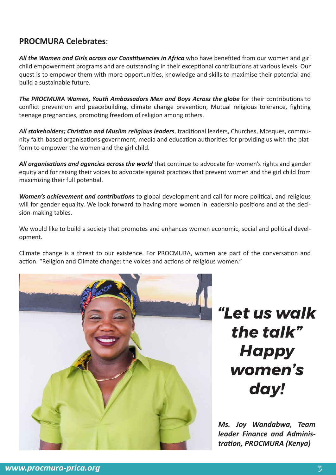### **PROCMURA Celebrates**:

*All the Women and Girls across our Constituencies in Africa* who have benefited from our women and girl child empowerment programs and are outstanding in their exceptional contributions at various levels. Our quest is to empower them with more opportunities, knowledge and skills to maximise their potential and build a sustainable future.

The PROCMURA Women, Youth Ambassadors Men and Boys Across the globe for their contributions to conflict prevention and peacebuilding, climate change prevention, Mutual religious tolerance, fighting teenage pregnancies, promoting freedom of religion among others.

All stakeholders; Christian and Muslim religious leaders, traditional leaders, Churches, Mosques, community faith-based organisations government, media and education authorities for providing us with the platform to empower the women and the girl child.

All organisations and agencies across the world that continue to advocate for women's rights and gender equity and for raising their voices to advocate against prac�ces that prevent women and the girl child from maximizing their full potential.

*Women's achievement and contributions* to global development and call for more political, and religious will for gender equality. We look forward to having more women in leadership positions and at the decision-making tables.

We would like to build a society that promotes and enhances women economic, social and political development.

Climate change is a threat to our existence. For PROCMURA, women are part of the conversa�on and action. "Religion and Climate change: the voices and actions of religious women."



*"Let us walk the talk" Happy women's day!*

*Ms. Joy Wandabwa, Team leader Finance and Administration, PROCMURA (Kenya)*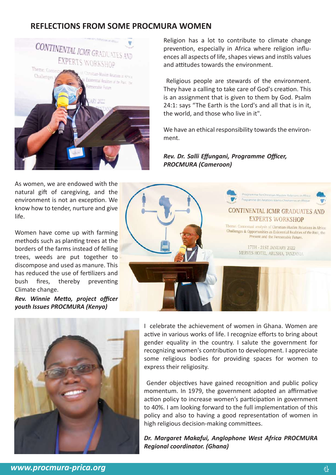### **REFLECTIONS FROM SOME PROCMURA WOMEN**



Religion has a lot to contribute to climate change prevention, especially in Africa where religion influences all aspects of life, shapes views and instils values and attitudes towards the environment.

 Religious people are stewards of the environment. They have a calling to take care of God's creation. This is an assignment that is given to them by God. Psalm 24:1: says "The Earth is the Lord's and all that is in it, the world, and those who live in it".

We have an ethical responsibility towards the environment.

*Rev. Dr. Salli Effungani, Programme Officer, PROCMURA (Cameroon)*

As women, we are endowed with the natural gift of caregiving, and the environment is not an exception. We know how to tender, nurture and give life.

Women have come up with farming methods such as planting trees at the borders of the farms instead of felling trees, weeds are put together to discompose and used as manure. This has reduced the use of fertilizers and bush fires, thereby preventing Climate change.

*Rev. Winnie Metto, project officer youth Issues PROCMURA (Kenya)*





I celebrate the achievement of women in Ghana. Women are active in various works of life. I recognize efforts to bring about gender equality in the country. I salute the government for recognizing women's contribution to development. I appreciate some religious bodies for providing spaces for women to express their religiosity.

Gender objectives have gained recognition and public policy momentum. In 1979, the government adopted an affirmative action policy to increase women's participation in government to 40%. I am looking forward to the full implementation of this policy and also to having a good representation of women in high religious decision-making committees.

*Dr. Margaret Makafui, Anglophone West Africa PROCMURA Regional coordinator. (Ghana)*

*www.procmura-prica.org* 4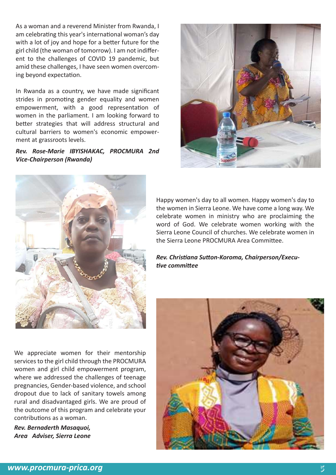As a woman and a reverend Minister from Rwanda, I am celebrating this year's international woman's day with a lot of joy and hope for a better future for the girl child (the woman of tomorrow). I am not indifferent to the challenges of COVID 19 pandemic, but amid these challenges, I have seen women overcoming beyond expectation.

In Rwanda as a country, we have made significant strides in promoting gender equality and women empowerment, with a good representation of women in the parliament. I am looking forward to better strategies that will address structural and cultural barriers to women's economic empowerment at grassroots levels.

*Rev. Rose-Marie IBYISHAKAC, PROCMURA 2nd Vice-Chairperson (Rwanda)*





We appreciate women for their mentorship services to the girl child through the PROCMURA women and girl child empowerment program, where we addressed the challenges of teenage pregnancies, Gender-based violence, and school dropout due to lack of sanitary towels among rural and disadvantaged girls. We are proud of the outcome of this program and celebrate your contributions as a woman.

*Rev. Bernaderth Masaquoi, Area Adviser, Sierra Leone* Happy women's day to all women. Happy women's day to the women in Sierra Leone. We have come a long way. We celebrate women in ministry who are proclaiming the word of God. We celebrate women working with the Sierra Leone Council of churches. We celebrate women in the Sierra Leone PROCMURA Area Commi�ee.

*Rev. Christiana Sutton-Koroma, Chairperson/Executive committee*